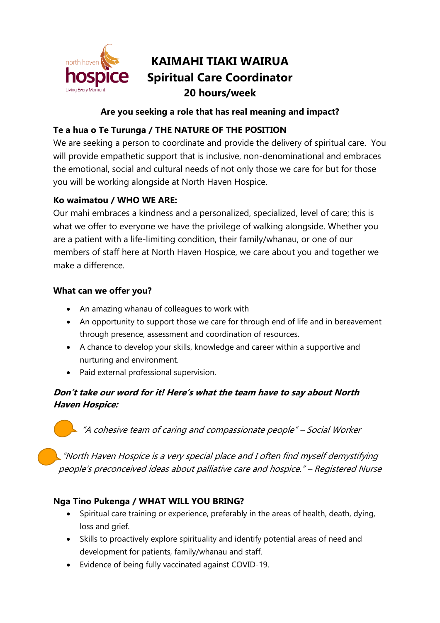

# **KAIMAHI TIAKI WAIRUA Spiritual Care Coordinator 20 hours/week**

#### **Are you seeking a role that has real meaning and impact?**

# **Te a hua o Te Turunga / THE NATURE OF THE POSITION**

We are seeking a person to coordinate and provide the delivery of spiritual care. You will provide empathetic support that is inclusive, non-denominational and embraces the emotional, social and cultural needs of not only those we care for but for those you will be working alongside at North Haven Hospice.

#### **Ko waimatou / WHO WE ARE:**

Our mahi embraces a kindness and a personalized, specialized, level of care; this is what we offer to everyone we have the privilege of walking alongside. Whether you are a patient with a life-limiting condition, their family/whanau, or one of our members of staff here at North Haven Hospice, we care about you and together we make a difference.

#### **What can we offer you?**

- An amazing whanau of colleagues to work with
- An opportunity to support those we care for through end of life and in bereavement through presence, assessment and coordination of resources.
- A chance to develop your skills, knowledge and career within a supportive and nurturing and environment.
- Paid external professional supervision.

## **Don't take our word for it! Here's what the team have to say about North Haven Hospice:**

"A cohesive team of caring and compassionate people" – Social Worker

"North Haven Hospice is a very special place and I often find myself demystifying people's preconceived ideas about palliative care and hospice." – Registered Nurse

## **Nga Tino Pukenga / WHAT WILL YOU BRING?**

- Spiritual care training or experience, preferably in the areas of health, death, dying, loss and grief.
- Skills to proactively explore spirituality and identify potential areas of need and development for patients, family/whanau and staff.
- Evidence of being fully vaccinated against COVID-19.